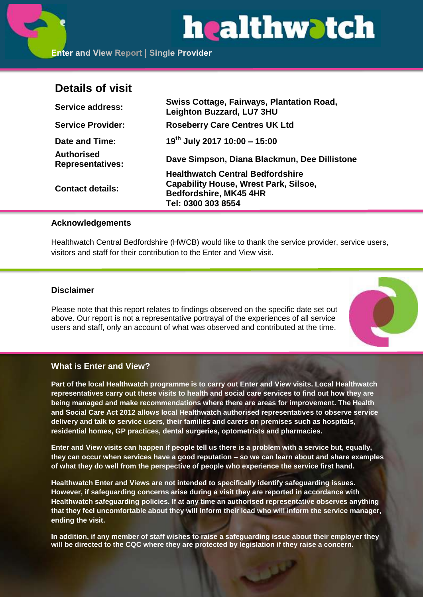# healthwatch

**Enter and View Report | Single Provider** 

# **Details of visit**

| <b>Service address:</b>                      | <b>Swiss Cottage, Fairways, Plantation Road,</b><br><b>Leighton Buzzard, LU7 3HU</b>    |
|----------------------------------------------|-----------------------------------------------------------------------------------------|
| <b>Service Provider:</b>                     | <b>Roseberry Care Centres UK Ltd</b>                                                    |
| Date and Time:                               | $19^{th}$ July 2017 10:00 - 15:00                                                       |
| <b>Authorised</b><br><b>Representatives:</b> | Dave Simpson, Diana Blackmun, Dee Dillistone                                            |
| <b>Contact details:</b>                      | <b>Healthwatch Central Bedfordshire</b><br><b>Capability House, Wrest Park, Silsoe,</b> |
|                                              | <b>Bedfordshire, MK45 4HR</b>                                                           |
|                                              | Tel: 0300 303 8554                                                                      |

# **Acknowledgements**

Healthwatch Central Bedfordshire (HWCB) would like to thank the service provider, service users, visitors and staff for their contribution to the Enter and View visit.

# **Disclaimer**

Please note that this report relates to findings observed on the specific date set out above. Our report is not a representative portrayal of the experiences of all service users and staff, only an account of what was observed and contributed at the time.



# **What is Enter and View?**

**Part of the local Healthwatch programme is to carry out Enter and View visits. Local Healthwatch representatives carry out these visits to health and social care services to find out how they are being managed and make recommendations where there are areas for improvement. The Health and Social Care Act 2012 allows local Healthwatch authorised representatives to observe service delivery and talk to service users, their families and carers on premises such as hospitals, residential homes, GP practices, dental surgeries, optometrists and pharmacies.** 

**Enter and View visits can happen if people tell us there is a problem with a service but, equally, they can occur when services have a good reputation – so we can learn about and share examples of what they do well from the perspective of people who experience the service first hand.**

**Healthwatch Enter and Views are not intended to specifically identify safeguarding issues. However, if safeguarding concerns arise during a visit they are reported in accordance with Healthwatch safeguarding policies. If at any time an authorised representative observes anything that they feel uncomfortable about they will inform their lead who will inform the service manager, ending the visit.** 

**In addition, if any member of staff wishes to raise a safeguarding issue about their employer they will be directed to the CQC where they are protected by legislation if they raise a concern.**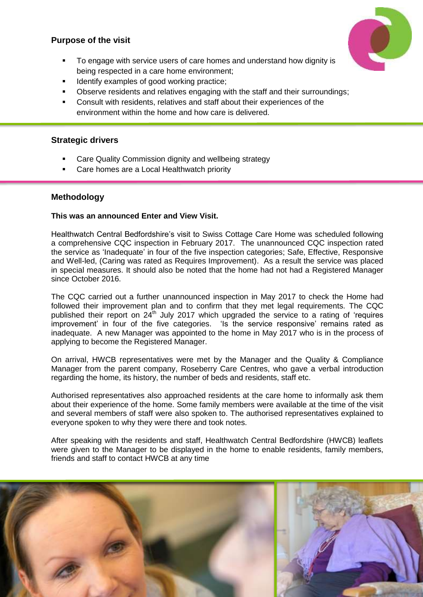# **Purpose of the visit**



- To engage with service users of care homes and understand how dignity is being respected in a care home environment;
- Identify examples of good working practice;
- Observe residents and relatives engaging with the staff and their surroundings;
- Consult with residents, relatives and staff about their experiences of the environment within the home and how care is delivered.

# **Strategic drivers**

- Care Quality Commission dignity and wellbeing strategy
- Care homes are a Local Healthwatch priority

# **Methodology**

# **This was an announced Enter and View Visit.**

Healthwatch Central Bedfordshire's visit to Swiss Cottage Care Home was scheduled following a comprehensive CQC inspection in February 2017. The unannounced CQC inspection rated the service as 'Inadequate' in four of the five inspection categories; Safe, Effective, Responsive and Well-led, (Caring was rated as Requires Improvement). As a result the service was placed in special measures. It should also be noted that the home had not had a Registered Manager since October 2016.

The CQC carried out a further unannounced inspection in May 2017 to check the Home had followed their improvement plan and to confirm that they met legal requirements. The CQC published their report on  $24<sup>th</sup>$  July 2017 which upgraded the service to a rating of 'requires improvement' in four of the five categories. 'Is the service responsive' remains rated as inadequate. A new Manager was appointed to the home in May 2017 who is in the process of applying to become the Registered Manager.

On arrival, HWCB representatives were met by the Manager and the Quality & Compliance Manager from the parent company, Roseberry Care Centres, who gave a verbal introduction regarding the home, its history, the number of beds and residents, staff etc.

Authorised representatives also approached residents at the care home to informally ask them about their experience of the home. Some family members were available at the time of the visit and several members of staff were also spoken to. The authorised representatives explained to everyone spoken to why they were there and took notes.

After speaking with the residents and staff, Healthwatch Central Bedfordshire (HWCB) leaflets were given to the Manager to be displayed in the home to enable residents, family members, friends and staff to contact HWCB at any time

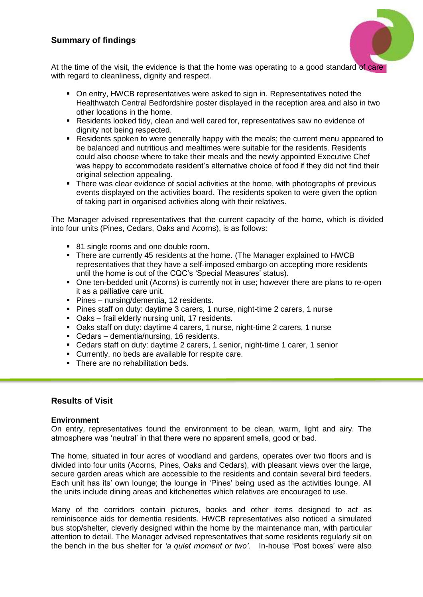# **Summary of findings**



At the time of the visit, the evidence is that the home was operating to a good standard of care with regard to cleanliness, dignity and respect.

- On entry, HWCB representatives were asked to sign in. Representatives noted the Healthwatch Central Bedfordshire poster displayed in the reception area and also in two other locations in the home.
- Residents looked tidy, clean and well cared for, representatives saw no evidence of dignity not being respected.
- Residents spoken to were generally happy with the meals; the current menu appeared to be balanced and nutritious and mealtimes were suitable for the residents. Residents could also choose where to take their meals and the newly appointed Executive Chef was happy to accommodate resident's alternative choice of food if they did not find their original selection appealing.
- There was clear evidence of social activities at the home, with photographs of previous events displayed on the activities board. The residents spoken to were given the option of taking part in organised activities along with their relatives.

The Manager advised representatives that the current capacity of the home, which is divided into four units (Pines, Cedars, Oaks and Acorns), is as follows:

- 81 single rooms and one double room.
- There are currently 45 residents at the home. (The Manager explained to HWCB representatives that they have a self-imposed embargo on accepting more residents until the home is out of the CQC's 'Special Measures' status).
- One ten-bedded unit (Acorns) is currently not in use; however there are plans to re-open it as a palliative care unit.
- **Pines nursing/dementia, 12 residents.**
- Pines staff on duty: daytime 3 carers, 1 nurse, night-time 2 carers, 1 nurse
- Oaks frail elderly nursing unit, 17 residents.
- Oaks staff on duty: daytime 4 carers, 1 nurse, night-time 2 carers, 1 nurse
- Cedars dementia/nursing, 16 residents.
- Cedars staff on duty: daytime 2 carers, 1 senior, night-time 1 carer, 1 senior
- Currently, no beds are available for respite care.
- There are no rehabilitation beds.

## **Results of Visit**

#### **Environment**

On entry, representatives found the environment to be clean, warm, light and airy. The atmosphere was 'neutral' in that there were no apparent smells, good or bad.

The home, situated in four acres of woodland and gardens, operates over two floors and is divided into four units (Acorns, Pines, Oaks and Cedars), with pleasant views over the large, secure garden areas which are accessible to the residents and contain several bird feeders. Each unit has its' own lounge; the lounge in 'Pines' being used as the activities lounge. All the units include dining areas and kitchenettes which relatives are encouraged to use.

Many of the corridors contain pictures, books and other items designed to act as reminiscence aids for dementia residents. HWCB representatives also noticed a simulated bus stop/shelter, cleverly designed within the home by the maintenance man, with particular attention to detail. The Manager advised representatives that some residents regularly sit on the bench in the bus shelter for *'a quiet moment or two'*. In-house 'Post boxes' were also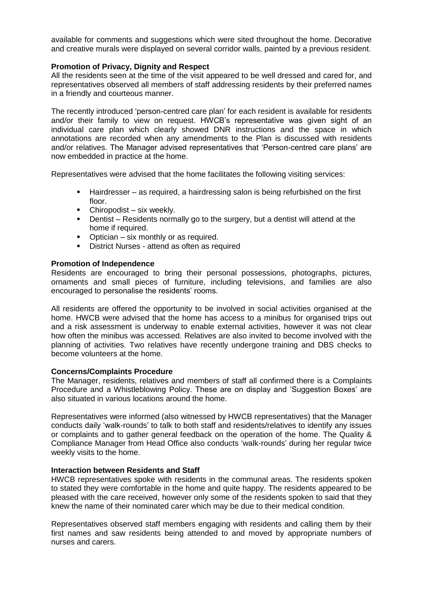available for comments and suggestions which were sited throughout the home. Decorative and creative murals were displayed on several corridor walls, painted by a previous resident.

#### **Promotion of Privacy, Dignity and Respect**

All the residents seen at the time of the visit appeared to be well dressed and cared for, and representatives observed all members of staff addressing residents by their preferred names in a friendly and courteous manner.

The recently introduced 'person-centred care plan' for each resident is available for residents and/or their family to view on request. HWCB's representative was given sight of an individual care plan which clearly showed DNR instructions and the space in which annotations are recorded when any amendments to the Plan is discussed with residents and/or relatives. The Manager advised representatives that 'Person-centred care plans' are now embedded in practice at the home.

Representatives were advised that the home facilitates the following visiting services:

- Hairdresser as required, a hairdressing salon is being refurbished on the first floor.
- Chiropodist six weekly.<br>■ Dentist Residents norm
- Dentist Residents normally go to the surgery, but a dentist will attend at the home if required.
- Optician six monthly or as required.
- District Nurses attend as often as required

#### **Promotion of Independence**

Residents are encouraged to bring their personal possessions, photographs, pictures, ornaments and small pieces of furniture, including televisions, and families are also encouraged to personalise the residents' rooms.

All residents are offered the opportunity to be involved in social activities organised at the home. HWCB were advised that the home has access to a minibus for organised trips out and a risk assessment is underway to enable external activities, however it was not clear how often the minibus was accessed. Relatives are also invited to become involved with the planning of activities. Two relatives have recently undergone training and DBS checks to become volunteers at the home.

#### **Concerns/Complaints Procedure**

The Manager, residents, relatives and members of staff all confirmed there is a Complaints Procedure and a Whistleblowing Policy. These are on display and 'Suggestion Boxes' are also situated in various locations around the home.

Representatives were informed (also witnessed by HWCB representatives) that the Manager conducts daily 'walk-rounds' to talk to both staff and residents/relatives to identify any issues or complaints and to gather general feedback on the operation of the home. The Quality & Compliance Manager from Head Office also conducts 'walk-rounds' during her regular twice weekly visits to the home.

#### **Interaction between Residents and Staff**

HWCB representatives spoke with residents in the communal areas. The residents spoken to stated they were comfortable in the home and quite happy. The residents appeared to be pleased with the care received, however only some of the residents spoken to said that they knew the name of their nominated carer which may be due to their medical condition.

Representatives observed staff members engaging with residents and calling them by their first names and saw residents being attended to and moved by appropriate numbers of nurses and carers.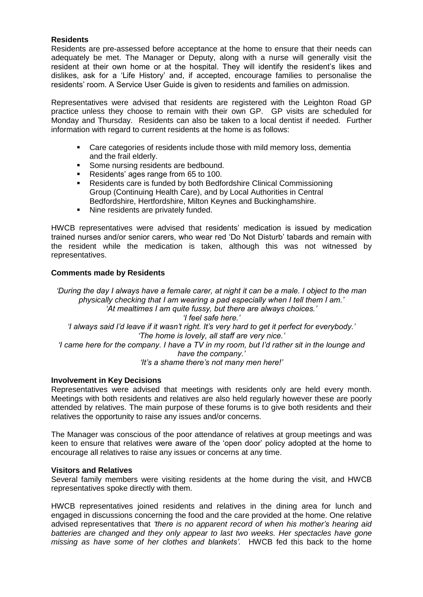# **Residents**

Residents are pre-assessed before acceptance at the home to ensure that their needs can adequately be met. The Manager or Deputy, along with a nurse will generally visit the resident at their own home or at the hospital. They will identify the resident's likes and dislikes, ask for a 'Life History' and, if accepted, encourage families to personalise the residents' room. A Service User Guide is given to residents and families on admission.

Representatives were advised that residents are registered with the Leighton Road GP practice unless they choose to remain with their own GP. GP visits are scheduled for Monday and Thursday. Residents can also be taken to a local dentist if needed. Further information with regard to current residents at the home is as follows:

- Care categories of residents include those with mild memory loss, dementia and the frail elderly.
- Some nursing residents are bedbound.
- Residents' ages range from 65 to 100.
- Residents care is funded by both Bedfordshire Clinical Commissioning Group (Continuing Health Care), and by Local Authorities in Central Bedfordshire, Hertfordshire, Milton Keynes and Buckinghamshire.
- Nine residents are privately funded.

HWCB representatives were advised that residents' medication is issued by medication trained nurses and/or senior carers, who wear red 'Do Not Disturb' tabards and remain with the resident while the medication is taken, although this was not witnessed by representatives.

#### **Comments made by Residents**

*'During the day I always have a female carer, at night it can be a male. I object to the man physically checking that I am wearing a pad especially when I tell them I am.' 'At mealtimes I am quite fussy, but there are always choices.' 'I feel safe here.' 'I always said I'd leave if it wasn't right. It's very hard to get it perfect for everybody.' 'The home is lovely, all staff are very nice.' 'I came here for the company. I have a TV in my room, but I'd rather sit in the lounge and have the company.' 'It's a shame there's not many men here!'*

#### **Involvement in Key Decisions**

Representatives were advised that meetings with residents only are held every month. Meetings with both residents and relatives are also held regularly however these are poorly attended by relatives. The main purpose of these forums is to give both residents and their relatives the opportunity to raise any issues and/or concerns.

The Manager was conscious of the poor attendance of relatives at group meetings and was keen to ensure that relatives were aware of the 'open door' policy adopted at the home to encourage all relatives to raise any issues or concerns at any time.

#### **Visitors and Relatives**

Several family members were visiting residents at the home during the visit, and HWCB representatives spoke directly with them.

HWCB representatives joined residents and relatives in the dining area for lunch and engaged in discussions concerning the food and the care provided at the home. One relative advised representatives that *'there is no apparent record of when his mother's hearing aid batteries are changed and they only appear to last two weeks. Her spectacles have gone missing as have some of her clothes and blankets'.* HWCB fed this back to the home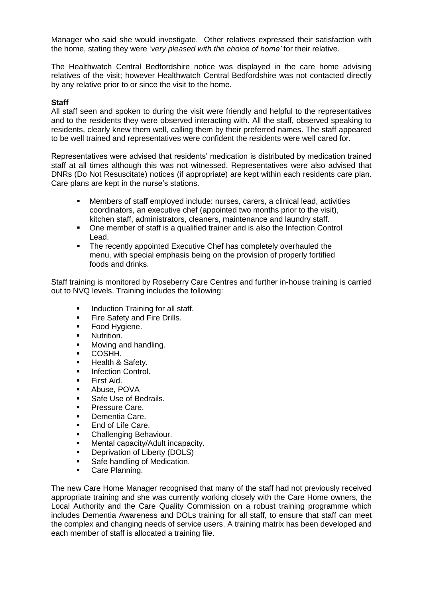Manager who said she would investigate. Other relatives expressed their satisfaction with the home, stating they were '*very pleased with the choice of home'* for their relative.

The Healthwatch Central Bedfordshire notice was displayed in the care home advising relatives of the visit; however Healthwatch Central Bedfordshire was not contacted directly by any relative prior to or since the visit to the home.

#### **Staff**

All staff seen and spoken to during the visit were friendly and helpful to the representatives and to the residents they were observed interacting with. All the staff, observed speaking to residents, clearly knew them well, calling them by their preferred names. The staff appeared to be well trained and representatives were confident the residents were well cared for.

Representatives were advised that residents' medication is distributed by medication trained staff at all times although this was not witnessed. Representatives were also advised that DNRs (Do Not Resuscitate) notices (if appropriate) are kept within each residents care plan. Care plans are kept in the nurse's stations.

- Members of staff employed include: nurses, carers, a clinical lead, activities coordinators, an executive chef (appointed two months prior to the visit), kitchen staff, administrators, cleaners, maintenance and laundry staff.
- One member of staff is a qualified trainer and is also the Infection Control Lead.
- The recently appointed Executive Chef has completely overhauled the menu, with special emphasis being on the provision of properly fortified foods and drinks.

Staff training is monitored by Roseberry Care Centres and further in-house training is carried out to NVQ levels. Training includes the following:

- **Induction Training for all staff.**
- **Fire Safety and Fire Drills.**
- **Food Hygiene.**
- **Nutrition.**
- Moving and handling.
- COSHH.
- Health & Safety.
- **Infection Control.**
- First Aid.
- Abuse, POVA
- Safe Use of Bedrails.
- Pressure Care.
- Dementia Care.
- End of Life Care.
- Challenging Behaviour.
- **Mental capacity/Adult incapacity.**
- Deprivation of Liberty (DOLS)
- Safe handling of Medication.
- **Care Planning.**

The new Care Home Manager recognised that many of the staff had not previously received appropriate training and she was currently working closely with the Care Home owners, the Local Authority and the Care Quality Commission on a robust training programme which includes Dementia Awareness and DOLs training for all staff, to ensure that staff can meet the complex and changing needs of service users. A training matrix has been developed and each member of staff is allocated a training file.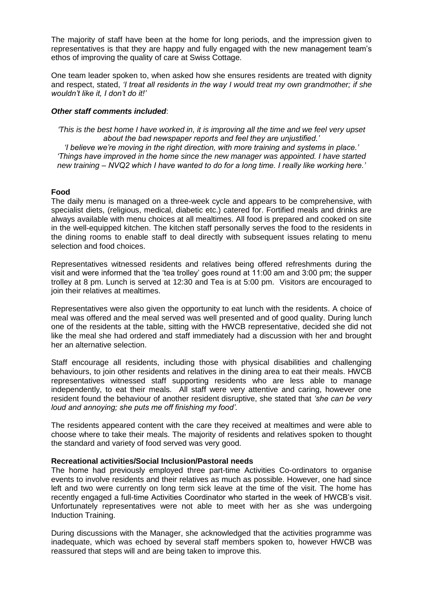The majority of staff have been at the home for long periods, and the impression given to representatives is that they are happy and fully engaged with the new management team's ethos of improving the quality of care at Swiss Cottage.

One team leader spoken to, when asked how she ensures residents are treated with dignity and respect, stated, *'I treat all residents in the way I would treat my own grandmother; if she wouldn't like it, I don't do it!'*

#### *Other staff comments included*:

*'This is the best home I have worked in, it is improving all the time and we feel very upset about the bad newspaper reports and feel they are unjustified.'*

*'I believe we're moving in the right direction, with more training and systems in place.' 'Things have improved in the home since the new manager was appointed. I have started new training – NVQ2 which I have wanted to do for a long time. I really like working here.'*

#### **Food**

The daily menu is managed on a three-week cycle and appears to be comprehensive, with specialist diets, (religious, medical, diabetic etc.) catered for. Fortified meals and drinks are always available with menu choices at all mealtimes. All food is prepared and cooked on site in the well-equipped kitchen. The kitchen staff personally serves the food to the residents in the dining rooms to enable staff to deal directly with subsequent issues relating to menu selection and food choices.

Representatives witnessed residents and relatives being offered refreshments during the visit and were informed that the 'tea trolley' goes round at 11:00 am and 3:00 pm; the supper trolley at 8 pm. Lunch is served at 12:30 and Tea is at 5:00 pm. Visitors are encouraged to join their relatives at mealtimes.

Representatives were also given the opportunity to eat lunch with the residents. A choice of meal was offered and the meal served was well presented and of good quality. During lunch one of the residents at the table, sitting with the HWCB representative, decided she did not like the meal she had ordered and staff immediately had a discussion with her and brought her an alternative selection.

Staff encourage all residents, including those with physical disabilities and challenging behaviours, to join other residents and relatives in the dining area to eat their meals. HWCB representatives witnessed staff supporting residents who are less able to manage independently, to eat their meals. All staff were very attentive and caring, however one resident found the behaviour of another resident disruptive, she stated that *'she can be very loud and annoying; she puts me off finishing my food'.*

The residents appeared content with the care they received at mealtimes and were able to choose where to take their meals. The majority of residents and relatives spoken to thought the standard and variety of food served was very good.

#### **Recreational activities/Social Inclusion/Pastoral needs**

The home had previously employed three part-time Activities Co-ordinators to organise events to involve residents and their relatives as much as possible. However, one had since left and two were currently on long term sick leave at the time of the visit. The home has recently engaged a full-time Activities Coordinator who started in the week of HWCB's visit. Unfortunately representatives were not able to meet with her as she was undergoing Induction Training.

During discussions with the Manager, she acknowledged that the activities programme was inadequate, which was echoed by several staff members spoken to, however HWCB was reassured that steps will and are being taken to improve this.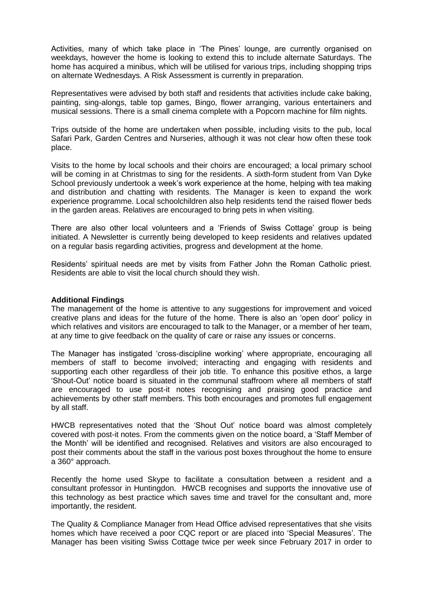Activities, many of which take place in 'The Pines' lounge, are currently organised on weekdays, however the home is looking to extend this to include alternate Saturdays. The home has acquired a minibus, which will be utilised for various trips, including shopping trips on alternate Wednesdays. A Risk Assessment is currently in preparation.

Representatives were advised by both staff and residents that activities include cake baking, painting, sing-alongs, table top games, Bingo, flower arranging, various entertainers and musical sessions. There is a small cinema complete with a Popcorn machine for film nights.

Trips outside of the home are undertaken when possible, including visits to the pub, local Safari Park, Garden Centres and Nurseries, although it was not clear how often these took place.

Visits to the home by local schools and their choirs are encouraged; a local primary school will be coming in at Christmas to sing for the residents. A sixth-form student from Van Dyke School previously undertook a week's work experience at the home, helping with tea making and distribution and chatting with residents. The Manager is keen to expand the work experience programme. Local schoolchildren also help residents tend the raised flower beds in the garden areas. Relatives are encouraged to bring pets in when visiting.

There are also other local volunteers and a 'Friends of Swiss Cottage' group is being initiated. A Newsletter is currently being developed to keep residents and relatives updated on a regular basis regarding activities, progress and development at the home.

Residents' spiritual needs are met by visits from Father John the Roman Catholic priest. Residents are able to visit the local church should they wish.

#### **Additional Findings**

The management of the home is attentive to any suggestions for improvement and voiced creative plans and ideas for the future of the home. There is also an 'open door' policy in which relatives and visitors are encouraged to talk to the Manager, or a member of her team, at any time to give feedback on the quality of care or raise any issues or concerns.

The Manager has instigated 'cross-discipline working' where appropriate, encouraging all members of staff to become involved; interacting and engaging with residents and supporting each other regardless of their job title. To enhance this positive ethos, a large 'Shout-Out' notice board is situated in the communal staffroom where all members of staff are encouraged to use post-it notes recognising and praising good practice and achievements by other staff members. This both encourages and promotes full engagement by all staff.

HWCB representatives noted that the 'Shout Out' notice board was almost completely covered with post-it notes. From the comments given on the notice board, a 'Staff Member of the Month' will be identified and recognised. Relatives and visitors are also encouraged to post their comments about the staff in the various post boxes throughout the home to ensure a 360° approach.

Recently the home used Skype to facilitate a consultation between a resident and a consultant professor in Huntingdon. HWCB recognises and supports the innovative use of this technology as best practice which saves time and travel for the consultant and, more importantly, the resident.

The Quality & Compliance Manager from Head Office advised representatives that she visits homes which have received a poor CQC report or are placed into 'Special Measures'. The Manager has been visiting Swiss Cottage twice per week since February 2017 in order to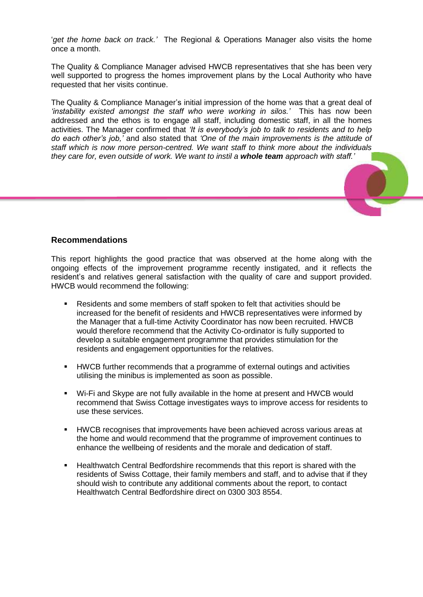'*get the home back on track.'* The Regional & Operations Manager also visits the home once a month.

The Quality & Compliance Manager advised HWCB representatives that she has been very well supported to progress the homes improvement plans by the Local Authority who have requested that her visits continue.

The Quality & Compliance Manager's initial impression of the home was that a great deal of *'instability existed amongst the staff who were working in silos.'* This has now been addressed and the ethos is to engage all staff, including domestic staff, in all the homes activities. The Manager confirmed that *'It is everybody's job to talk to residents and to help do each other's job,'* and also stated that *'One of the main improvements is the attitude of staff which is now more person-centred. We want staff to think more about the individuals they care for, even outside of work. We want to instil a whole team approach with staff.'*

# **Recommendations**

This report highlights the good practice that was observed at the home along with the ongoing effects of the improvement programme recently instigated, and it reflects the resident's and relatives general satisfaction with the quality of care and support provided. HWCB would recommend the following:

- Residents and some members of staff spoken to felt that activities should be increased for the benefit of residents and HWCB representatives were informed by the Manager that a full-time Activity Coordinator has now been recruited. HWCB would therefore recommend that the Activity Co-ordinator is fully supported to develop a suitable engagement programme that provides stimulation for the residents and engagement opportunities for the relatives.
- **HWCB further recommends that a programme of external outings and activities** utilising the minibus is implemented as soon as possible.
- Wi-Fi and Skype are not fully available in the home at present and HWCB would recommend that Swiss Cottage investigates ways to improve access for residents to use these services.
- HWCB recognises that improvements have been achieved across various areas at the home and would recommend that the programme of improvement continues to enhance the wellbeing of residents and the morale and dedication of staff.
- Healthwatch Central Bedfordshire recommends that this report is shared with the residents of Swiss Cottage, their family members and staff, and to advise that if they should wish to contribute any additional comments about the report, to contact Healthwatch Central Bedfordshire direct on 0300 303 8554.